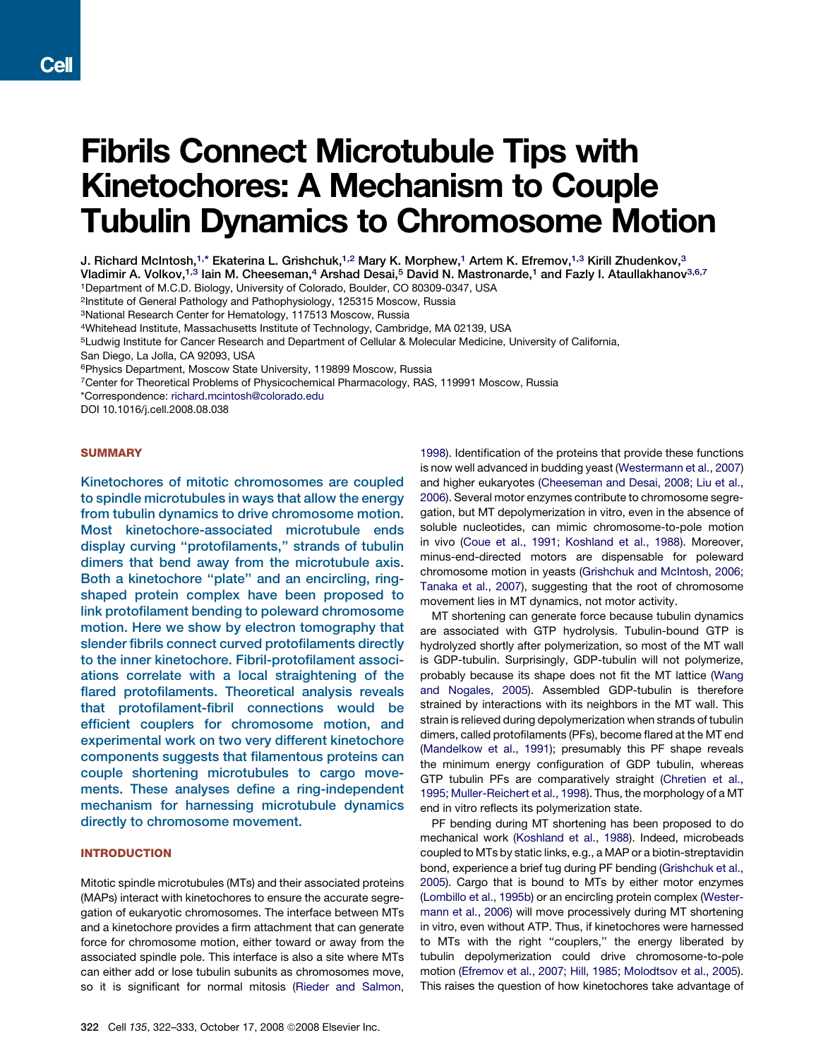# Fibrils Connect Microtubule Tips with Kinetochores: A Mechanism to Couple Tubulin Dynamics to Chromosome Motion

J. Richard McIntosh,<sup>1,</sup>\* Ekaterina L. Grishchuk,<sup>1,2</sup> Mary K. Morphew,<sup>1</sup> Artem K. Efremov,<sup>1,3</sup> Kirill Zhudenkov,<sup>3</sup>

Vladimir A. Volkov,<sup>1,3</sup> Iain M. Cheeseman,<sup>4</sup> Arshad Desai,<sup>5</sup> David N. Mastronarde,<sup>1</sup> and Fazly I. Ataullakhanov<sup>3,6,7</sup>

1Department of M.C.D. Biology, University of Colorado, Boulder, CO 80309-0347, USA

2Institute of General Pathology and Pathophysiology, 125315 Moscow, Russia

3National Research Center for Hematology, 117513 Moscow, Russia

4Whitehead Institute, Massachusetts Institute of Technology, Cambridge, MA 02139, USA

5Ludwig Institute for Cancer Research and Department of Cellular & Molecular Medicine, University of California,

San Diego, La Jolla, CA 92093, USA

6Physics Department, Moscow State University, 119899 Moscow, Russia

7Center for Theoretical Problems of Physicochemical Pharmacology, RAS, 119991 Moscow, Russia

\*Correspondence: [richard.mcintosh@colorado.edu](mailto:richard.mcintosh@colorado.edu)

DOI 10.1016/j.cell.2008.08.038

#### **SUMMARY**

Kinetochores of mitotic chromosomes are coupled to spindle microtubules in ways that allow the energy from tubulin dynamics to drive chromosome motion. Most kinetochore-associated microtubule ends display curving ''protofilaments,'' strands of tubulin dimers that bend away from the microtubule axis. Both a kinetochore ''plate'' and an encircling, ringshaped protein complex have been proposed to link protofilament bending to poleward chromosome motion. Here we show by electron tomography that slender fibrils connect curved protofilaments directly to the inner kinetochore. Fibril-protofilament associations correlate with a local straightening of the flared protofilaments. Theoretical analysis reveals that protofilament-fibril connections would be efficient couplers for chromosome motion, and experimental work on two very different kinetochore components suggests that filamentous proteins can couple shortening microtubules to cargo movements. These analyses define a ring-independent mechanism for harnessing microtubule dynamics directly to chromosome movement.

# INTRODUCTION

Mitotic spindle microtubules (MTs) and their associated proteins (MAPs) interact with kinetochores to ensure the accurate segregation of eukaryotic chromosomes. The interface between MTs and a kinetochore provides a firm attachment that can generate force for chromosome motion, either toward or away from the associated spindle pole. This interface is also a site where MTs can either add or lose tubulin subunits as chromosomes move, so it is significant for normal mitosis ([Rieder and Salmon,](#page-10-0)

[1998\)](#page-10-0). Identification of the proteins that provide these functions is now well advanced in budding yeast [\(Westermann et al., 2007\)](#page-11-0) and higher eukaryotes [\(Cheeseman and Desai, 2008; Liu et al.,](#page-10-0) [2006\)](#page-10-0). Several motor enzymes contribute to chromosome segregation, but MT depolymerization in vitro, even in the absence of soluble nucleotides, can mimic chromosome-to-pole motion in vivo ([Coue et al., 1991; Koshland et al., 1988\)](#page-10-0). Moreover, minus-end-directed motors are dispensable for poleward chromosome motion in yeasts ([Grishchuk and McIntosh, 2006;](#page-10-0) [Tanaka et al., 2007](#page-10-0)), suggesting that the root of chromosome movement lies in MT dynamics, not motor activity.

MT shortening can generate force because tubulin dynamics are associated with GTP hydrolysis. Tubulin-bound GTP is hydrolyzed shortly after polymerization, so most of the MT wall is GDP-tubulin. Surprisingly, GDP-tubulin will not polymerize, probably because its shape does not fit the MT lattice ([Wang](#page-11-0) [and Nogales, 2005](#page-11-0)). Assembled GDP-tubulin is therefore strained by interactions with its neighbors in the MT wall. This strain is relieved during depolymerization when strands of tubulin dimers, called protofilaments (PFs), become flared at the MT end [\(Mandelkow et al., 1991](#page-10-0)); presumably this PF shape reveals the minimum energy configuration of GDP tubulin, whereas GTP tubulin PFs are comparatively straight [\(Chretien et al.,](#page-10-0) [1995; Muller-Reichert et al., 1998\)](#page-10-0). Thus, the morphology of a MT end in vitro reflects its polymerization state.

PF bending during MT shortening has been proposed to do mechanical work ([Koshland et al., 1988](#page-10-0)). Indeed, microbeads coupled to MTs by static links, e.g., a MAP or a biotin-streptavidin bond, experience a brief tug during PF bending ([Grishchuk et al.,](#page-10-0) [2005](#page-10-0)). Cargo that is bound to MTs by either motor enzymes [\(Lombillo et al., 1995b\)](#page-10-0) or an encircling protein complex [\(Wester](#page-11-0)[mann et al., 2006\)](#page-11-0) will move processively during MT shortening in vitro, even without ATP. Thus, if kinetochores were harnessed to MTs with the right ''couplers,'' the energy liberated by tubulin depolymerization could drive chromosome-to-pole motion [\(Efremov et al., 2007; Hill, 1985; Molodtsov et al., 2005](#page-10-0)). This raises the question of how kinetochores take advantage of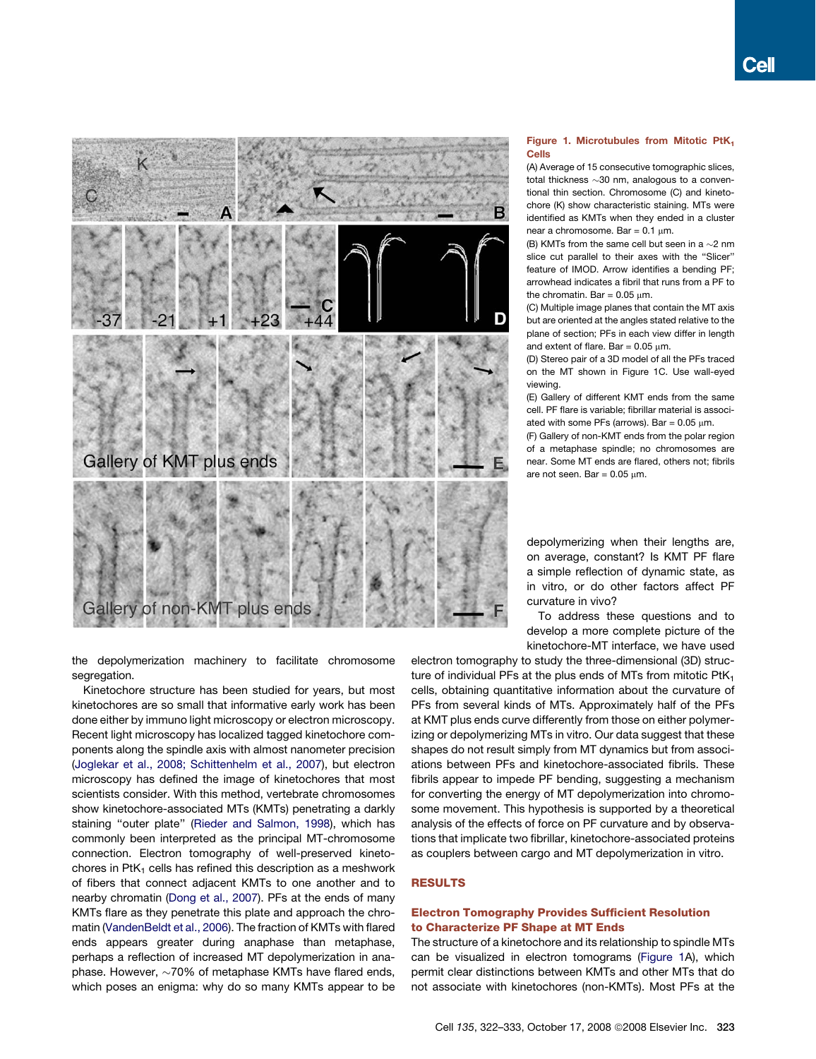<span id="page-1-0"></span>

the depolymerization machinery to facilitate chromosome segregation.

Kinetochore structure has been studied for years, but most kinetochores are so small that informative early work has been done either by immuno light microscopy or electron microscopy. Recent light microscopy has localized tagged kinetochore components along the spindle axis with almost nanometer precision [\(Joglekar et al., 2008; Schittenhelm et al., 2007\)](#page-10-0), but electron microscopy has defined the image of kinetochores that most scientists consider. With this method, vertebrate chromosomes show kinetochore-associated MTs (KMTs) penetrating a darkly staining ''outer plate'' [\(Rieder and Salmon, 1998\)](#page-10-0), which has commonly been interpreted as the principal MT-chromosome connection. Electron tomography of well-preserved kinetochores in PtK<sub>1</sub> cells has refined this description as a meshwork of fibers that connect adjacent KMTs to one another and to nearby chromatin ([Dong et al., 2007\)](#page-10-0). PFs at the ends of many KMTs flare as they penetrate this plate and approach the chromatin ([VandenBeldt et al., 2006\)](#page-11-0). The fraction of KMTs with flared ends appears greater during anaphase than metaphase, perhaps a reflection of increased MT depolymerization in anaphase. However,  $\sim$ 70% of metaphase KMTs have flared ends, which poses an enigma: why do so many KMTs appear to be

#### Figure 1. Microtubules from Mitotic PtK<sub>1</sub> Cells

(A) Average of 15 consecutive tomographic slices total thickness  $\sim$ 30 nm, analogous to a conventional thin section. Chromosome (C) and kinetochore (K) show characteristic staining. MTs were identified as KMTs when they ended in a cluster near a chromosome. Bar  $= 0.1$  um.

(B) KMTs from the same cell but seen in a  ${\sim}2$  nm slice cut parallel to their axes with the ''Slicer'' feature of IMOD. Arrow identifies a bending PF; arrowhead indicates a fibril that runs from a PF to the chromatin. Bar =  $0.05 \text{ nm}$ .

(C) Multiple image planes that contain the MT axis but are oriented at the angles stated relative to the plane of section; PFs in each view differ in length and extent of flare. Bar =  $0.05 \mu m$ .

(D) Stereo pair of a 3D model of all the PFs traced on the MT shown in Figure 1C. Use wall-eyed viewing.

(E) Gallery of different KMT ends from the same cell. PF flare is variable; fibrillar material is associated with some PFs (arrows). Bar =  $0.05 \mu m$ .

(F) Gallery of non-KMT ends from the polar region of a metaphase spindle; no chromosomes are near. Some MT ends are flared, others not; fibrils are not seen. Bar  $= 0.05$  um.

depolymerizing when their lengths are, on average, constant? Is KMT PF flare a simple reflection of dynamic state, as in vitro, or do other factors affect PF curvature in vivo?

To address these questions and to develop a more complete picture of the kinetochore-MT interface, we have used

electron tomography to study the three-dimensional (3D) structure of individual PFs at the plus ends of MTs from mitotic  $PtK<sub>1</sub>$ cells, obtaining quantitative information about the curvature of PFs from several kinds of MTs. Approximately half of the PFs at KMT plus ends curve differently from those on either polymerizing or depolymerizing MTs in vitro. Our data suggest that these shapes do not result simply from MT dynamics but from associations between PFs and kinetochore-associated fibrils. These fibrils appear to impede PF bending, suggesting a mechanism for converting the energy of MT depolymerization into chromosome movement. This hypothesis is supported by a theoretical analysis of the effects of force on PF curvature and by observations that implicate two fibrillar, kinetochore-associated proteins as couplers between cargo and MT depolymerization in vitro.

# RESULTS

# Electron Tomography Provides Sufficient Resolution to Characterize PF Shape at MT Ends

The structure of a kinetochore and its relationship to spindle MTs can be visualized in electron tomograms (Figure 1A), which permit clear distinctions between KMTs and other MTs that do not associate with kinetochores (non-KMTs). Most PFs at the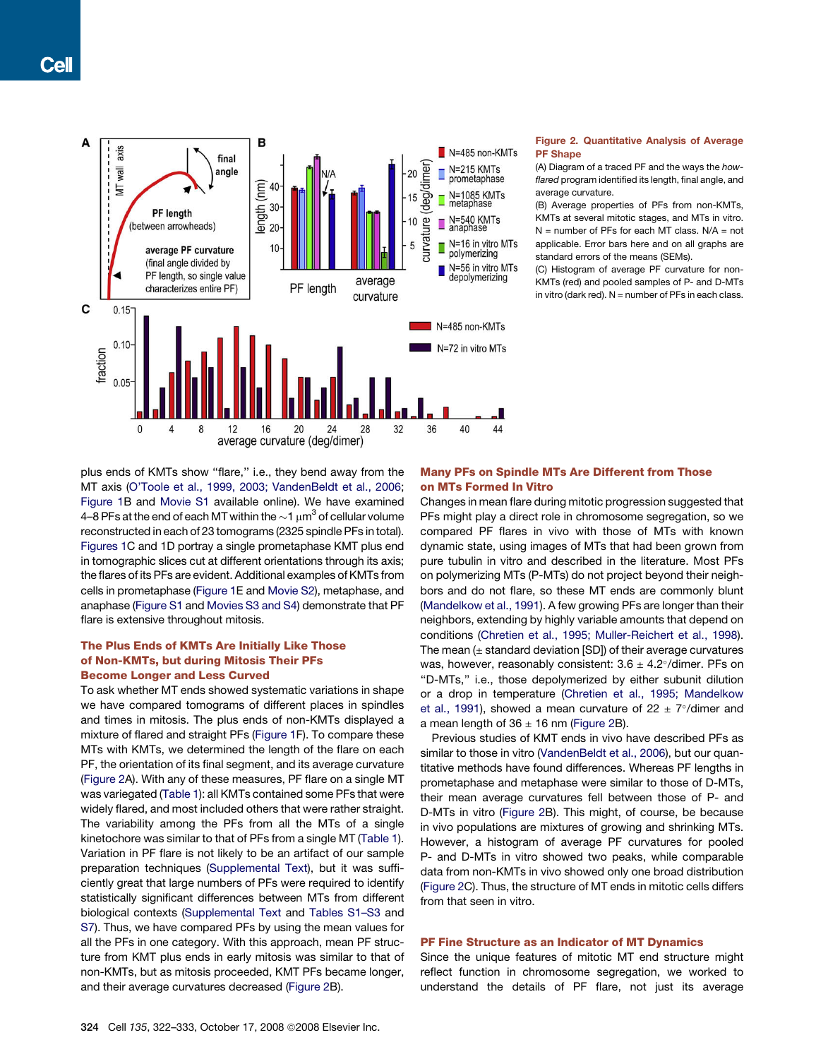<span id="page-2-0"></span>

#### Figure 2. Quantitative Analysis of Average PF Shape

(A) Diagram of a traced PF and the ways the *howflared* program identified its length, final angle, and average curvature.

(B) Average properties of PFs from non-KMTs, KMTs at several mitotic stages, and MTs in vitro.  $N =$  number of PFs for each MT class.  $N/A =$  not applicable. Error bars here and on all graphs are standard errors of the means (SEMs).

(C) Histogram of average PF curvature for non-KMTs (red) and pooled samples of P- and D-MTs in vitro (dark red).  $N =$  number of PFs in each class.

plus ends of KMTs show ''flare,'' i.e., they bend away from the MT axis ([O'Toole et al., 1999, 2003; VandenBeldt et al., 2006;](#page-10-0) [Figure 1B](#page-1-0) and [Movie S1](#page-9-0) available online). We have examined 4–8 PFs at the end of each MT within the  $\sim$ 1  $\mu$ m $^3$  of cellular volume reconstructed in each of 23 tomograms (2325 spindle PFs in total). [Figures 1C](#page-1-0) and 1D portray a single prometaphase KMT plus end in tomographic slices cut at different orientations through its axis; the flares of its PFs are evident. Additional examples of KMTs from cells in prometaphase [\(Figure 1E](#page-1-0) and [Movie S2\)](#page-9-0), metaphase, and anaphase [\(Figure S1](#page-9-0) and [Movies S3 and S4\)](#page-9-0) demonstrate that PF flare is extensive throughout mitosis.

# The Plus Ends of KMTs Are Initially Like Those of Non-KMTs, but during Mitosis Their PFs Become Longer and Less Curved

To ask whether MT ends showed systematic variations in shape we have compared tomograms of different places in spindles and times in mitosis. The plus ends of non-KMTs displayed a mixture of flared and straight PFs ([Figure 1](#page-1-0)F). To compare these MTs with KMTs, we determined the length of the flare on each PF, the orientation of its final segment, and its average curvature (Figure 2A). With any of these measures, PF flare on a single MT was variegated [\(Table 1](#page-3-0)): all KMTs contained some PFs that were widely flared, and most included others that were rather straight. The variability among the PFs from all the MTs of a single kinetochore was similar to that of PFs from a single MT ([Table 1](#page-3-0)). Variation in PF flare is not likely to be an artifact of our sample preparation techniques ([Supplemental Text](#page-9-0)), but it was sufficiently great that large numbers of PFs were required to identify statistically significant differences between MTs from different biological contexts ([Supplemental Text](#page-9-0) and [Tables S1–S3](#page-9-0) and [S7\)](#page-9-0). Thus, we have compared PFs by using the mean values for all the PFs in one category. With this approach, mean PF structure from KMT plus ends in early mitosis was similar to that of non-KMTs, but as mitosis proceeded, KMT PFs became longer, and their average curvatures decreased (Figure 2B).

# Many PFs on Spindle MTs Are Different from Those on MTs Formed In Vitro

Changes in mean flare during mitotic progression suggested that PFs might play a direct role in chromosome segregation, so we compared PF flares in vivo with those of MTs with known dynamic state, using images of MTs that had been grown from pure tubulin in vitro and described in the literature. Most PFs on polymerizing MTs (P-MTs) do not project beyond their neighbors and do not flare, so these MT ends are commonly blunt [\(Mandelkow et al., 1991](#page-10-0)). A few growing PFs are longer than their neighbors, extending by highly variable amounts that depend on conditions ([Chretien et al., 1995; Muller-Reichert et al., 1998](#page-10-0)). The mean  $(\pm$  standard deviation [SD]) of their average curvatures was, however, reasonably consistent:  $3.6 \pm 4.2^{\circ}/$ dimer. PFs on ''D-MTs,'' i.e., those depolymerized by either subunit dilution or a drop in temperature [\(Chretien et al., 1995; Mandelkow](#page-10-0) [et al., 1991\)](#page-10-0), showed a mean curvature of  $22 \pm 7^{\circ}/$ dimer and a mean length of  $36 \pm 16$  nm (Figure 2B).

Previous studies of KMT ends in vivo have described PFs as similar to those in vitro ([VandenBeldt et al., 2006\)](#page-11-0), but our quantitative methods have found differences. Whereas PF lengths in prometaphase and metaphase were similar to those of D-MTs, their mean average curvatures fell between those of P- and D-MTs in vitro (Figure 2B). This might, of course, be because in vivo populations are mixtures of growing and shrinking MTs. However, a histogram of average PF curvatures for pooled P- and D-MTs in vitro showed two peaks, while comparable data from non-KMTs in vivo showed only one broad distribution (Figure 2C). Thus, the structure of MT ends in mitotic cells differs from that seen in vitro.

# PF Fine Structure as an Indicator of MT Dynamics

Since the unique features of mitotic MT end structure might reflect function in chromosome segregation, we worked to understand the details of PF flare, not just its average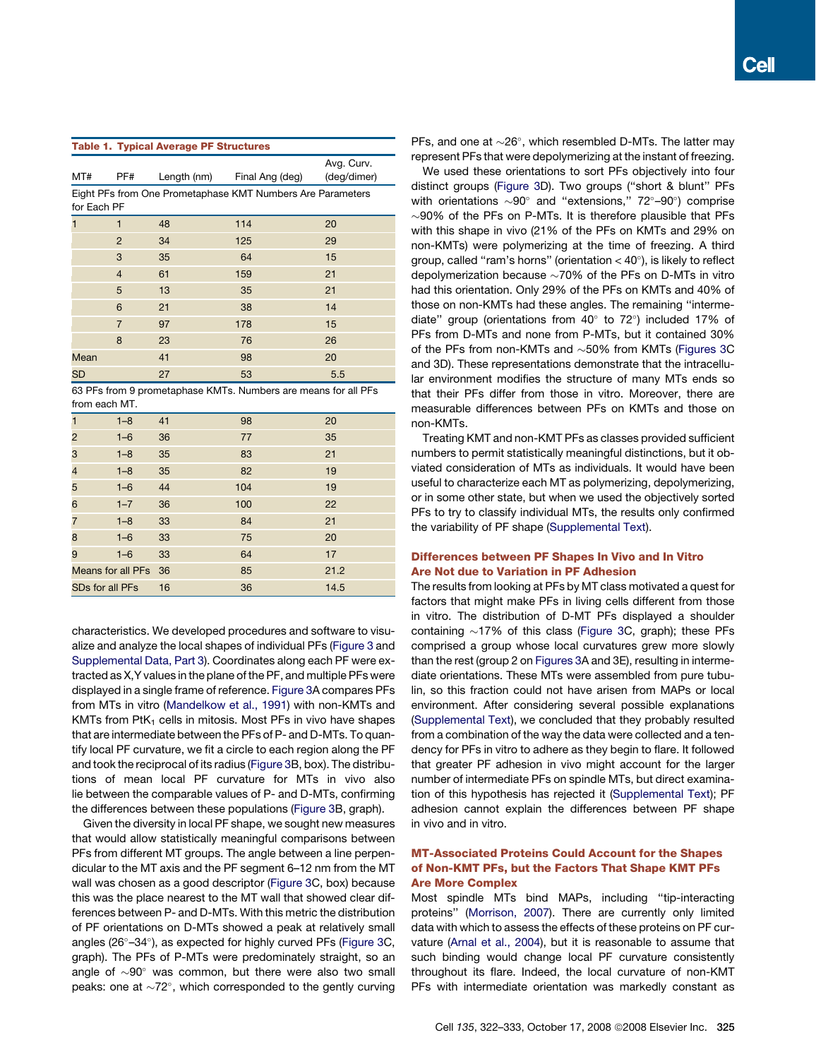<span id="page-3-0"></span>

| <b>Table 1. Typical Average PF Structures</b> |                |    |                                                            |                           |  |  |  |
|-----------------------------------------------|----------------|----|------------------------------------------------------------|---------------------------|--|--|--|
| MT#                                           | PF#            |    | Length (nm) Final Ang (deg)                                | Avg. Curv.<br>(deg/dimer) |  |  |  |
| for Each PF                                   |                |    | Eight PFs from One Prometaphase KMT Numbers Are Parameters |                           |  |  |  |
| 1                                             | 1              | 48 | 114                                                        | 20                        |  |  |  |
|                                               | 2              | 34 | 125                                                        | 29                        |  |  |  |
|                                               | 3              | 35 | 64                                                         | 15                        |  |  |  |
|                                               | $\overline{4}$ | 61 | 159                                                        | 21                        |  |  |  |
|                                               | 5              | 13 | 35                                                         | 21                        |  |  |  |
|                                               | 6              | 21 | 38                                                         | 14                        |  |  |  |
|                                               | $\overline{7}$ | 97 | 178                                                        | 15                        |  |  |  |
|                                               | $\mathsf{B}$   | 23 | 76                                                         | 26                        |  |  |  |
| Mean                                          |                | 41 | 98                                                         | 20                        |  |  |  |
| SD                                            |                | 27 | 53                                                         | 5.5                       |  |  |  |

63 PFs from 9 prometaphase KMTs. Numbers are means for all PFs from each MT.

| $\overline{1}$           | $1 - 8$ | 41 | 98  | 20   |  |
|--------------------------|---------|----|-----|------|--|
| $\overline{2}$           | $1 - 6$ | 36 | 77  | 35   |  |
| 3                        | $1 - 8$ | 35 | 83  | 21   |  |
| $\overline{\mathcal{A}}$ | $1 - 8$ | 35 | 82  | 19   |  |
| 5                        | $1 - 6$ | 44 | 104 | 19   |  |
| 6                        | $1 - 7$ | 36 | 100 | 22   |  |
| $\overline{7}$           | $1 - 8$ | 33 | 84  | 21   |  |
| 8                        | $1 - 6$ | 33 | 75  | 20   |  |
| 9                        | $1 - 6$ | 33 | 64  | 17   |  |
| Means for all PFs 36     |         |    | 85  | 21.2 |  |
| <b>SDs for all PFs</b>   |         | 16 | 36  | 14.5 |  |
|                          |         |    |     |      |  |

characteristics. We developed procedures and software to visualize and analyze the local shapes of individual PFs ([Figure 3](#page-4-0) and [Supplemental Data, Part 3\)](#page-9-0). Coordinates along each PF were extracted as X,Y values in the plane of the PF, and multiple PFs were displayed in a single frame of reference. [Figure 3](#page-4-0)A compares PFs from MTs in vitro [\(Mandelkow et al., 1991](#page-10-0)) with non-KMTs and KMTs from  $PtK<sub>1</sub>$  cells in mitosis. Most PFs in vivo have shapes that are intermediate between the PFs of P- and D-MTs. To quantify local PF curvature, we fit a circle to each region along the PF and took the reciprocal of its radius [\(Figure 3](#page-4-0)B, box). The distributions of mean local PF curvature for MTs in vivo also lie between the comparable values of P- and D-MTs, confirming the differences between these populations [\(Figure 3B](#page-4-0), graph).

Given the diversity in local PF shape, we sought new measures that would allow statistically meaningful comparisons between PFs from different MT groups. The angle between a line perpendicular to the MT axis and the PF segment 6–12 nm from the MT wall was chosen as a good descriptor ([Figure 3C](#page-4-0), box) because this was the place nearest to the MT wall that showed clear differences between P- and D-MTs. With this metric the distribution of PF orientations on D-MTs showed a peak at relatively small angles (26°-34°), as expected for highly curved PFs ([Figure 3C](#page-4-0), graph). The PFs of P-MTs were predominately straight, so an angle of  $\sim$ 90 $^{\circ}$  was common, but there were also two small peaks: one at  $\sim72^{\circ}$ , which corresponded to the gently curving

PFs, and one at  $\sim$ 26°, which resembled D-MTs. The latter may represent PFs that were depolymerizing at the instant of freezing.

We used these orientations to sort PFs objectively into four distinct groups ([Figure 3D](#page-4-0)). Two groups (''short & blunt'' PFs with orientations  $\sim$ 90 $^{\circ}$  and "extensions," 72 $^{\circ}$ -90 $^{\circ}$ ) comprise  $\sim$ 90% of the PFs on P-MTs. It is therefore plausible that PFs with this shape in vivo (21% of the PFs on KMTs and 29% on non-KMTs) were polymerizing at the time of freezing. A third group, called "ram's horns" (orientation  $<$  40 $^{\circ}$ ), is likely to reflect depolymerization because  ${\sim}70\%$  of the PFs on D-MTs in vitro had this orientation. Only 29% of the PFs on KMTs and 40% of those on non-KMTs had these angles. The remaining ''intermediate" group (orientations from  $40^{\circ}$  to  $72^{\circ}$ ) included 17% of PFs from D-MTs and none from P-MTs, but it contained 30% of the PFs from non-KMTs and  $\sim$ 50% from KMTs ([Figures 3](#page-4-0)C and 3D). These representations demonstrate that the intracellular environment modifies the structure of many MTs ends so that their PFs differ from those in vitro. Moreover, there are measurable differences between PFs on KMTs and those on non-KMTs.

Treating KMT and non-KMT PFs as classes provided sufficient numbers to permit statistically meaningful distinctions, but it obviated consideration of MTs as individuals. It would have been useful to characterize each MT as polymerizing, depolymerizing, or in some other state, but when we used the objectively sorted PFs to try to classify individual MTs, the results only confirmed the variability of PF shape [\(Supplemental Text\)](#page-9-0).

# Differences between PF Shapes In Vivo and In Vitro Are Not due to Variation in PF Adhesion

The results from looking at PFs by MT class motivated a quest for factors that might make PFs in living cells different from those in vitro. The distribution of D-MT PFs displayed a shoulder containing  $\sim$ 17% of this class [\(Figure 3](#page-4-0)C, graph); these PFs comprised a group whose local curvatures grew more slowly than the rest (group 2 on [Figures 3](#page-4-0)A and 3E), resulting in intermediate orientations. These MTs were assembled from pure tubulin, so this fraction could not have arisen from MAPs or local environment. After considering several possible explanations [\(Supplemental Text\)](#page-9-0), we concluded that they probably resulted from a combination of the way the data were collected and a tendency for PFs in vitro to adhere as they begin to flare. It followed that greater PF adhesion in vivo might account for the larger number of intermediate PFs on spindle MTs, but direct examination of this hypothesis has rejected it [\(Supplemental Text](#page-9-0)); PF adhesion cannot explain the differences between PF shape in vivo and in vitro.

# MT-Associated Proteins Could Account for the Shapes of Non-KMT PFs, but the Factors That Shape KMT PFs Are More Complex

Most spindle MTs bind MAPs, including ''tip-interacting proteins'' [\(Morrison, 2007](#page-10-0)). There are currently only limited data with which to assess the effects of these proteins on PF curvature [\(Arnal et al., 2004\)](#page-10-0), but it is reasonable to assume that such binding would change local PF curvature consistently throughout its flare. Indeed, the local curvature of non-KMT PFs with intermediate orientation was markedly constant as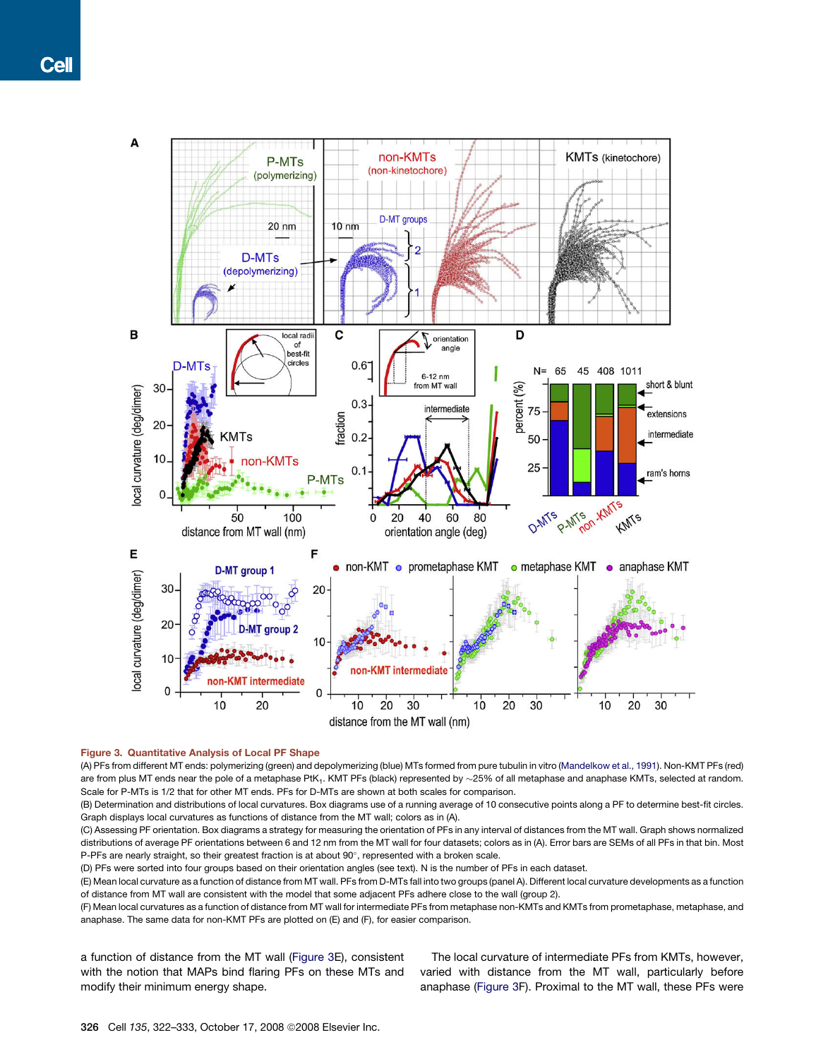<span id="page-4-0"></span>

#### Figure 3. Quantitative Analysis of Local PF Shape

(A) PFs from different MT ends: polymerizing (green) and depolymerizing (blue) MTs formed from pure tubulin in vitro ([Mandelkow et al., 1991\)](#page-10-0). Non-KMT PFs (red) are from plus MT ends near the pole of a metaphase PtK<sub>1</sub>. KMT PFs (black) represented by  $\sim$ 25% of all metaphase and anaphase KMTs, selected at random. Scale for P-MTs is 1/2 that for other MT ends. PFs for D-MTs are shown at both scales for comparison.

(B) Determination and distributions of local curvatures. Box diagrams use of a running average of 10 consecutive points along a PF to determine best-fit circles. Graph displays local curvatures as functions of distance from the MT wall; colors as in (A).

(C) Assessing PF orientation. Box diagrams a strategy for measuring the orientation of PFs in any interval of distances from the MT wall. Graph shows normalized distributions of average PF orientations between 6 and 12 nm from the MT wall for four datasets; colors as in (A). Error bars are SEMs of all PFs in that bin. Most P-PFs are nearly straight, so their greatest fraction is at about 90°, represented with a broken scale.

(D) PFs were sorted into four groups based on their orientation angles (see text). N is the number of PFs in each dataset.

(E) Mean local curvature as a function of distance from MT wall. PFs from D-MTs fall into two groups (panel A). Different local curvature developments as a function of distance from MT wall are consistent with the model that some adjacent PFs adhere close to the wall (group 2).

(F) Mean local curvatures as a function of distance from MT wall for intermediate PFs from metaphase non-KMTs and KMTs from prometaphase, metaphase, and anaphase. The same data for non-KMT PFs are plotted on (E) and (F), for easier comparison.

a function of distance from the MT wall (Figure 3E), consistent with the notion that MAPs bind flaring PFs on these MTs and modify their minimum energy shape.

The local curvature of intermediate PFs from KMTs, however, varied with distance from the MT wall, particularly before anaphase (Figure 3F). Proximal to the MT wall, these PFs were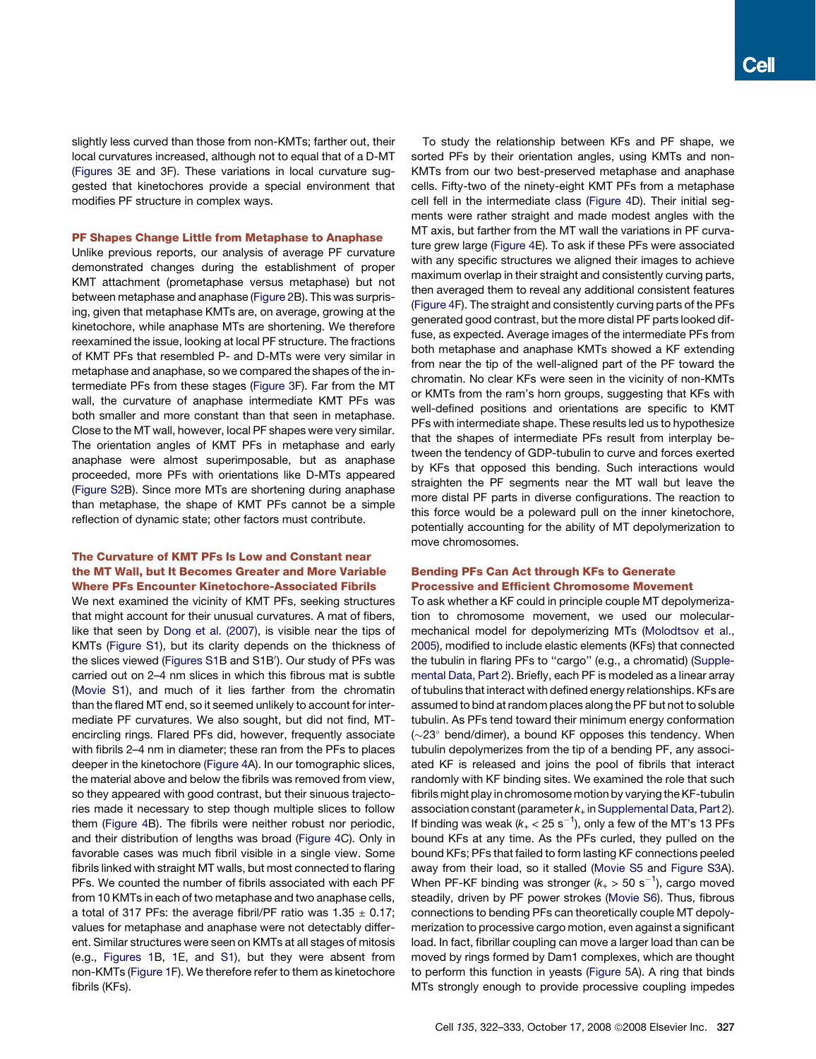slightly less curved than those from non-KMTs; farther out, their local curvatures increased, although not to equal that of a D-MT [\(Figures 3E](#page-4-0) and 3F). These variations in local curvature suggested that kinetochores provide a special environment that modifies PF structure in complex ways.

#### PF Shapes Change Little from Metaphase to Anaphase

Unlike previous reports, our analysis of average PF curvature demonstrated changes during the establishment of proper KMT attachment (prometaphase versus metaphase) but not between metaphase and anaphase [\(Figure 2](#page-2-0)B). This was surprising, given that metaphase KMTs are, on average, growing at the kinetochore, while anaphase MTs are shortening. We therefore reexamined the issue, looking at local PF structure. The fractions of KMT PFs that resembled P- and D-MTs were very similar in metaphase and anaphase, so we compared the shapes of the intermediate PFs from these stages [\(Figure 3](#page-4-0)F). Far from the MT wall, the curvature of anaphase intermediate KMT PFs was both smaller and more constant than that seen in metaphase. Close to the MT wall, however, local PF shapes were very similar. The orientation angles of KMT PFs in metaphase and early anaphase were almost superimposable, but as anaphase proceeded, more PFs with orientations like D-MTs appeared [\(Figure S2B](#page-9-0)). Since more MTs are shortening during anaphase than metaphase, the shape of KMT PFs cannot be a simple reflection of dynamic state; other factors must contribute.

# The Curvature of KMT PFs Is Low and Constant near the MT Wall, but It Becomes Greater and More Variable Where PFs Encounter Kinetochore-Associated Fibrils

We next examined the vicinity of KMT PFs, seeking structures that might account for their unusual curvatures. A mat of fibers, like that seen by [Dong et al. \(2007\)](#page-10-0), is visible near the tips of KMTs ([Figure S1](#page-9-0)), but its clarity depends on the thickness of the slices viewed ([Figures S1](#page-9-0)B and S1B'). Our study of PFs was carried out on 2–4 nm slices in which this fibrous mat is subtle [\(Movie S1](#page-9-0)), and much of it lies farther from the chromatin than the flared MT end, so it seemed unlikely to account for intermediate PF curvatures. We also sought, but did not find, MTencircling rings. Flared PFs did, however, frequently associate with fibrils 2–4 nm in diameter; these ran from the PFs to places deeper in the kinetochore ([Figure 4](#page-6-0)A). In our tomographic slices, the material above and below the fibrils was removed from view, so they appeared with good contrast, but their sinuous trajectories made it necessary to step though multiple slices to follow them ([Figure 4B](#page-6-0)). The fibrils were neither robust nor periodic, and their distribution of lengths was broad ([Figure 4](#page-6-0)C). Only in favorable cases was much fibril visible in a single view. Some fibrils linked with straight MT walls, but most connected to flaring PFs. We counted the number of fibrils associated with each PF from 10 KMTs in each of two metaphase and two anaphase cells, a total of 317 PFs: the average fibril/PF ratio was  $1.35 \pm 0.17$ ; values for metaphase and anaphase were not detectably different. Similar structures were seen on KMTs at all stages of mitosis (e.g., [Figures 1](#page-1-0)B, 1E, and [S1](#page-9-0)), but they were absent from non-KMTs ([Figure 1F](#page-1-0)). We therefore refer to them as kinetochore fibrils (KFs).

To study the relationship between KFs and PF shape, we sorted PFs by their orientation angles, using KMTs and non-KMTs from our two best-preserved metaphase and anaphase cells. Fifty-two of the ninety-eight KMT PFs from a metaphase cell fell in the intermediate class ([Figure 4](#page-6-0)D). Their initial segments were rather straight and made modest angles with the MT axis, but farther from the MT wall the variations in PF curvature grew large [\(Figure 4E](#page-6-0)). To ask if these PFs were associated with any specific structures we aligned their images to achieve maximum overlap in their straight and consistently curving parts, then averaged them to reveal any additional consistent features [\(Figure 4](#page-6-0)F). The straight and consistently curving parts of the PFs generated good contrast, but the more distal PF parts looked diffuse, as expected. Average images of the intermediate PFs from both metaphase and anaphase KMTs showed a KF extending from near the tip of the well-aligned part of the PF toward the chromatin. No clear KFs were seen in the vicinity of non-KMTs or KMTs from the ram's horn groups, suggesting that KFs with well-defined positions and orientations are specific to KMT PFs with intermediate shape. These results led us to hypothesize that the shapes of intermediate PFs result from interplay between the tendency of GDP-tubulin to curve and forces exerted by KFs that opposed this bending. Such interactions would straighten the PF segments near the MT wall but leave the more distal PF parts in diverse configurations. The reaction to this force would be a poleward pull on the inner kinetochore, potentially accounting for the ability of MT depolymerization to move chromosomes.

# Bending PFs Can Act through KFs to Generate Processive and Efficient Chromosome Movement

To ask whether a KF could in principle couple MT depolymerization to chromosome movement, we used our molecularmechanical model for depolymerizing MTs ([Molodtsov et al.,](#page-10-0) [2005\)](#page-10-0), modified to include elastic elements (KFs) that connected the tubulin in flaring PFs to ''cargo'' (e.g., a chromatid) [\(Supple](#page-9-0)[mental Data, Part 2\)](#page-9-0). Briefly, each PF is modeled as a linear array of tubulins that interact with defined energy relationships. KFs are assumed to bind at random places along the PF but not to soluble tubulin. As PFs tend toward their minimum energy conformation  $(\sim$ 23 $^{\circ}$  bend/dimer), a bound KF opposes this tendency. When tubulin depolymerizes from the tip of a bending PF, any associated KF is released and joins the pool of fibrils that interact randomly with KF binding sites. We examined the role that such fibrils might play in chromosome motion by varying the KF-tubulin association constant (parameter  $k_{+}$  in [Supplemental Data, Part 2\)](#page-9-0). If binding was weak ( $k_+ <$  25 s $^{-1}$ ), only a few of the MT's 13 PFs bound KFs at any time. As the PFs curled, they pulled on the bound KFs; PFs that failed to form lasting KF connections peeled away from their load, so it stalled [\(Movie S5](#page-9-0) and [Figure S3](#page-9-0)A). When PF-KF binding was stronger ( $k_+$  > 50 s<sup>-1</sup>), cargo moved steadily, driven by PF power strokes ([Movie S6\)](#page-9-0). Thus, fibrous connections to bending PFs can theoretically couple MT depolymerization to processive cargo motion, even against a significant load. In fact, fibrillar coupling can move a larger load than can be moved by rings formed by Dam1 complexes, which are thought to perform this function in yeasts ([Figure 5A](#page-7-0)). A ring that binds MTs strongly enough to provide processive coupling impedes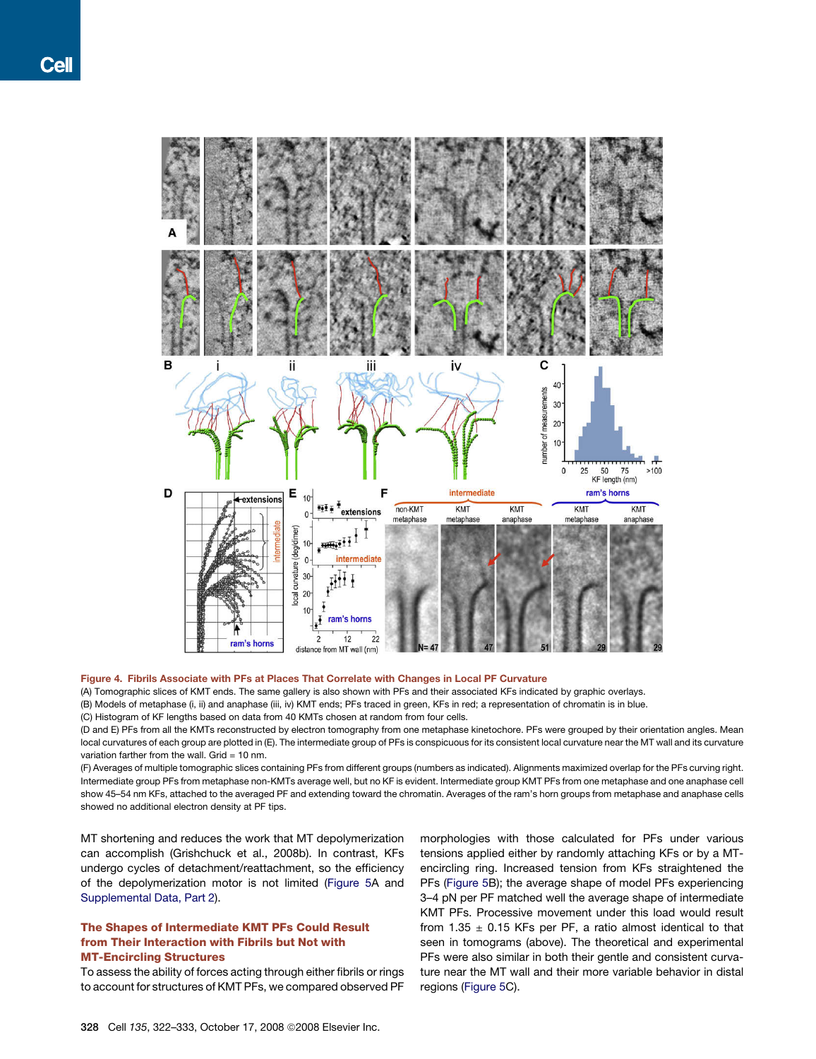<span id="page-6-0"></span>

#### Figure 4. Fibrils Associate with PFs at Places That Correlate with Changes in Local PF Curvature

(A) Tomographic slices of KMT ends. The same gallery is also shown with PFs and their associated KFs indicated by graphic overlays. (B) Models of metaphase (i, ii) and anaphase (iii, iv) KMT ends; PFs traced in green, KFs in red; a representation of chromatin is in blue.

(C) Histogram of KF lengths based on data from 40 KMTs chosen at random from four cells.

(D and E) PFs from all the KMTs reconstructed by electron tomography from one metaphase kinetochore. PFs were grouped by their orientation angles. Mean local curvatures of each group are plotted in (E). The intermediate group of PFs is conspicuous for its consistent local curvature near the MT wall and its curvature variation farther from the wall. Grid = 10 nm.

(F) Averages of multiple tomographic slices containing PFs from different groups (numbers as indicated). Alignments maximized overlap for the PFs curving right. Intermediate group PFs from metaphase non-KMTs average well, but no KF is evident. Intermediate group KMT PFs from one metaphase and one anaphase cell show 45–54 nm KFs, attached to the averaged PF and extending toward the chromatin. Averages of the ram's horn groups from metaphase and anaphase cells showed no additional electron density at PF tips.

MT shortening and reduces the work that MT depolymerization can accomplish (Grishchuck et al., 2008b). In contrast, KFs undergo cycles of detachment/reattachment, so the efficiency of the depolymerization motor is not limited [\(Figure 5A](#page-7-0) and [Supplemental Data, Part 2\)](#page-9-0).

# The Shapes of Intermediate KMT PFs Could Result from Their Interaction with Fibrils but Not with MT-Encircling Structures

To assess the ability of forces acting through either fibrils or rings to account for structures of KMT PFs, we compared observed PF morphologies with those calculated for PFs under various tensions applied either by randomly attaching KFs or by a MTencircling ring. Increased tension from KFs straightened the PFs [\(Figure 5](#page-7-0)B); the average shape of model PFs experiencing 3–4 pN per PF matched well the average shape of intermediate KMT PFs. Processive movement under this load would result from 1.35  $\pm$  0.15 KFs per PF, a ratio almost identical to that seen in tomograms (above). The theoretical and experimental PFs were also similar in both their gentle and consistent curvature near the MT wall and their more variable behavior in distal regions [\(Figure 5](#page-7-0)C).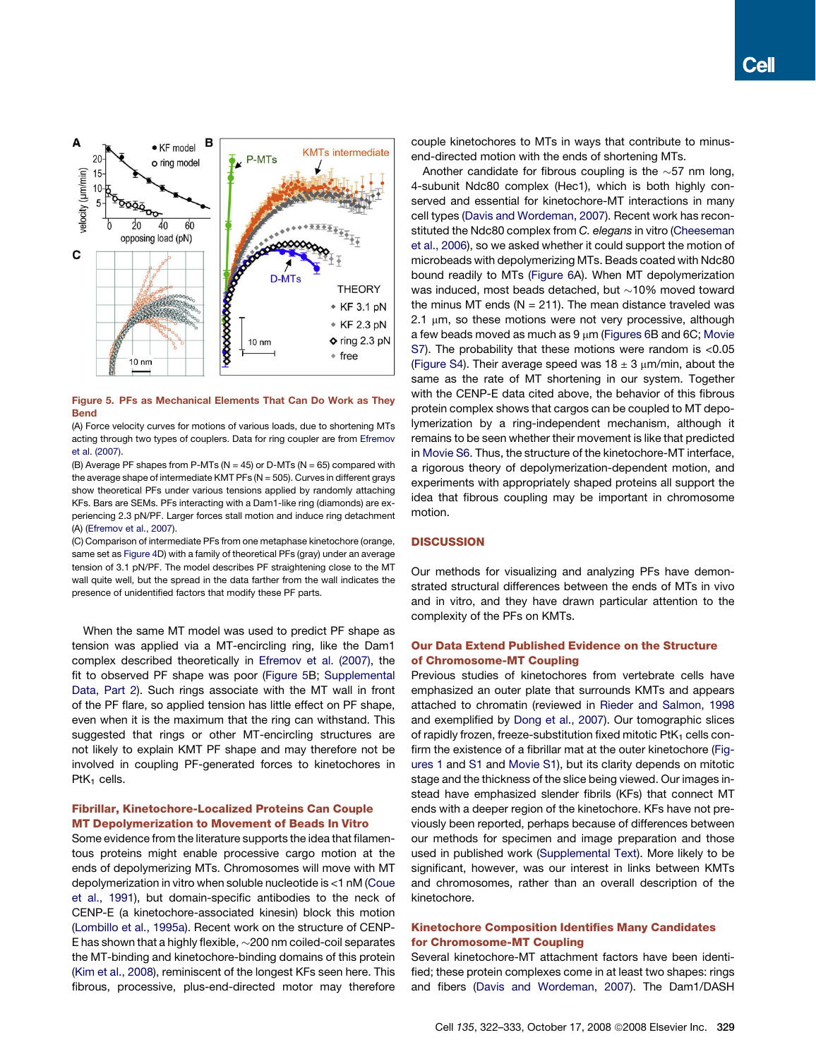<span id="page-7-0"></span>

# Figure 5. PFs as Mechanical Elements That Can Do Work as They Bend

(A) Force velocity curves for motions of various loads, due to shortening MTs acting through two types of couplers. Data for ring coupler are from [Efremov](#page-10-0) [et al. \(2007\)](#page-10-0).

(B) Average PF shapes from P-MTs ( $N = 45$ ) or D-MTs ( $N = 65$ ) compared with the average shape of intermediate KMT PFs ( $N = 505$ ). Curves in different grays show theoretical PFs under various tensions applied by randomly attaching KFs. Bars are SEMs. PFs interacting with a Dam1-like ring (diamonds) are experiencing 2.3 pN/PF. Larger forces stall motion and induce ring detachment (A) [\(Efremov et al., 2007](#page-10-0)).

(C) Comparison of intermediate PFs from one metaphase kinetochore (orange, same set as [Figure 4](#page-6-0)D) with a family of theoretical PFs (gray) under an average tension of 3.1 pN/PF. The model describes PF straightening close to the MT wall quite well, but the spread in the data farther from the wall indicates the presence of unidentified factors that modify these PF parts.

When the same MT model was used to predict PF shape as tension was applied via a MT-encircling ring, like the Dam1 complex described theoretically in [Efremov et al. \(2007\),](#page-10-0) the fit to observed PF shape was poor (Figure 5B; [Supplemental](#page-9-0) [Data, Part 2](#page-9-0)). Such rings associate with the MT wall in front of the PF flare, so applied tension has little effect on PF shape, even when it is the maximum that the ring can withstand. This suggested that rings or other MT-encircling structures are not likely to explain KMT PF shape and may therefore not be involved in coupling PF-generated forces to kinetochores in  $PtK<sub>1</sub>$  cells.

# Fibrillar, Kinetochore-Localized Proteins Can Couple MT Depolymerization to Movement of Beads In Vitro

Some evidence from the literature supports the idea that filamentous proteins might enable processive cargo motion at the ends of depolymerizing MTs. Chromosomes will move with MT depolymerization in vitro when soluble nucleotide is <1 nM ([Coue](#page-10-0) [et al., 1991](#page-10-0)), but domain-specific antibodies to the neck of CENP-E (a kinetochore-associated kinesin) block this motion [\(Lombillo et al., 1995a\)](#page-10-0). Recent work on the structure of CENP-E has shown that a highly flexible,  $\sim$ 200 nm coiled-coil separates the MT-binding and kinetochore-binding domains of this protein [\(Kim et al., 2008](#page-10-0)), reminiscent of the longest KFs seen here. This fibrous, processive, plus-end-directed motor may therefore couple kinetochores to MTs in ways that contribute to minusend-directed motion with the ends of shortening MTs.

Another candidate for fibrous coupling is the  $\sim$ 57 nm long, 4-subunit Ndc80 complex (Hec1), which is both highly conserved and essential for kinetochore-MT interactions in many cell types ([Davis and Wordeman, 2007](#page-10-0)). Recent work has reconstituted the Ndc80 complex from *C. elegans* in vitro ([Cheeseman](#page-10-0) [et al., 2006](#page-10-0)), so we asked whether it could support the motion of microbeads with depolymerizing MTs. Beads coated with Ndc80 bound readily to MTs ([Figure 6](#page-8-0)A). When MT depolymerization was induced, most beads detached, but  ${\sim}$ 10% moved toward the minus MT ends ( $N = 211$ ). The mean distance traveled was  $2.1 \mu m$ , so these motions were not very processive, although a few beads moved as much as  $9 \mu m$  ([Figures 6](#page-8-0)B and 6C; [Movie](#page-9-0) [S7](#page-9-0)). The probability that these motions were random is <0.05 [\(Figure S4\)](#page-9-0). Their average speed was  $18 \pm 3$  µm/min, about the same as the rate of MT shortening in our system. Together with the CENP-E data cited above, the behavior of this fibrous protein complex shows that cargos can be coupled to MT depolymerization by a ring-independent mechanism, although it remains to be seen whether their movement is like that predicted in [Movie S6](#page-9-0). Thus, the structure of the kinetochore-MT interface, a rigorous theory of depolymerization-dependent motion, and experiments with appropriately shaped proteins all support the idea that fibrous coupling may be important in chromosome motion.

# **DISCUSSION**

Our methods for visualizing and analyzing PFs have demonstrated structural differences between the ends of MTs in vivo and in vitro, and they have drawn particular attention to the complexity of the PFs on KMTs.

# Our Data Extend Published Evidence on the Structure of Chromosome-MT Coupling

Previous studies of kinetochores from vertebrate cells have emphasized an outer plate that surrounds KMTs and appears attached to chromatin (reviewed in [Rieder and Salmon, 1998](#page-10-0) and exemplified by [Dong et al., 2007\)](#page-10-0). Our tomographic slices of rapidly frozen, freeze-substitution fixed mitotic  $PtK<sub>1</sub>$  cells confirm the existence of a fibrillar mat at the outer kinetochore [\(Fig](#page-1-0)[ures 1](#page-1-0) and [S1](#page-9-0) and [Movie S1\)](#page-9-0), but its clarity depends on mitotic stage and the thickness of the slice being viewed. Our images instead have emphasized slender fibrils (KFs) that connect MT ends with a deeper region of the kinetochore. KFs have not previously been reported, perhaps because of differences between our methods for specimen and image preparation and those used in published work [\(Supplemental Text\)](#page-9-0). More likely to be significant, however, was our interest in links between KMTs and chromosomes, rather than an overall description of the kinetochore.

# Kinetochore Composition Identifies Many Candidates for Chromosome-MT Coupling

Several kinetochore-MT attachment factors have been identified; these protein complexes come in at least two shapes: rings and fibers [\(Davis and Wordeman, 2007\)](#page-10-0). The Dam1/DASH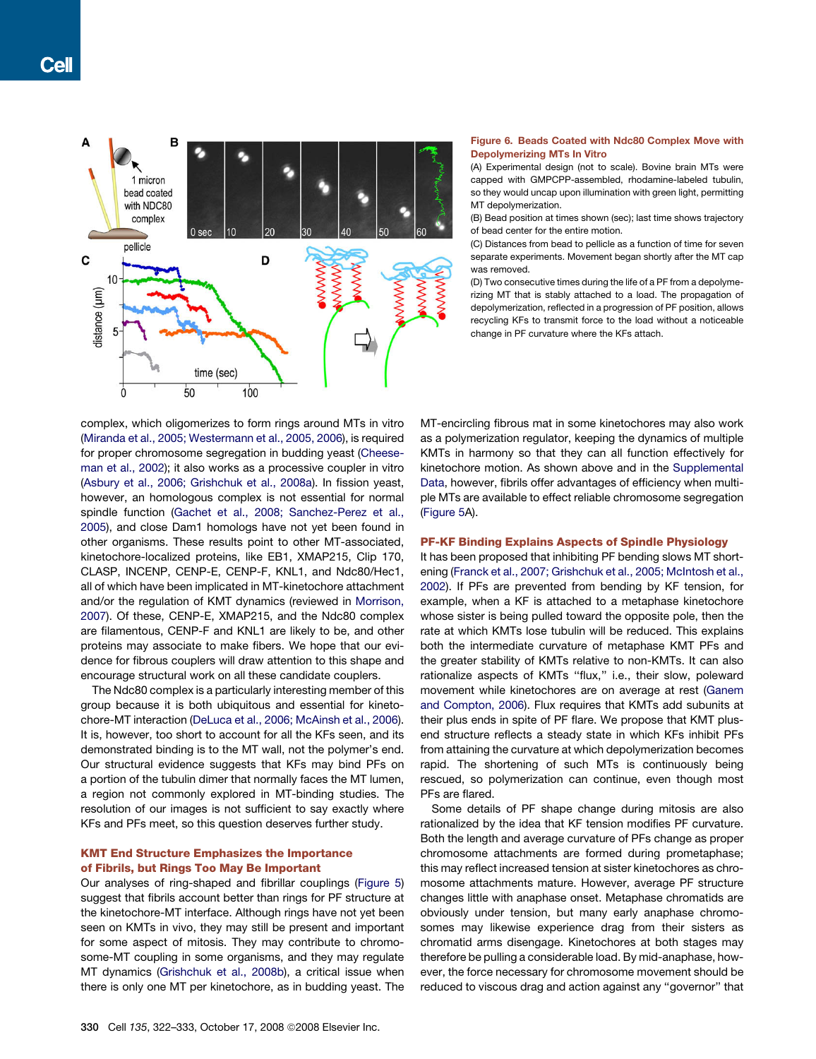<span id="page-8-0"></span>

#### Figure 6. Beads Coated with Ndc80 Complex Move with Depolymerizing MTs In Vitro

(A) Experimental design (not to scale). Bovine brain MTs were capped with GMPCPP-assembled, rhodamine-labeled tubulin, so they would uncap upon illumination with green light, permitting MT depolymerization.

(B) Bead position at times shown (sec); last time shows trajectory of bead center for the entire motion.

(C) Distances from bead to pellicle as a function of time for seven separate experiments. Movement began shortly after the MT cap was removed.

(D) Two consecutive times during the life of a PF from a depolymerizing MT that is stably attached to a load. The propagation of depolymerization, reflected in a progression of PF position, allows recycling KFs to transmit force to the load without a noticeable change in PF curvature where the KFs attach.

complex, which oligomerizes to form rings around MTs in vitro ([Miranda et al., 2005; Westermann et al., 2005, 2006](#page-10-0)), is required for proper chromosome segregation in budding yeast ([Cheese](#page-10-0)[man et al., 2002](#page-10-0)); it also works as a processive coupler in vitro ([Asbury et al., 2006; Grishchuk et al., 2008a\)](#page-10-0). In fission yeast, however, an homologous complex is not essential for normal spindle function ([Gachet et al., 2008; Sanchez-Perez et al.,](#page-10-0) [2005](#page-10-0)), and close Dam1 homologs have not yet been found in other organisms. These results point to other MT-associated, kinetochore-localized proteins, like EB1, XMAP215, Clip 170, CLASP, INCENP, CENP-E, CENP-F, KNL1, and Ndc80/Hec1, all of which have been implicated in MT-kinetochore attachment and/or the regulation of KMT dynamics (reviewed in [Morrison,](#page-10-0) [2007](#page-10-0)). Of these, CENP-E, XMAP215, and the Ndc80 complex are filamentous, CENP-F and KNL1 are likely to be, and other proteins may associate to make fibers. We hope that our evidence for fibrous couplers will draw attention to this shape and encourage structural work on all these candidate couplers.

The Ndc80 complex is a particularly interesting member of this group because it is both ubiquitous and essential for kinetochore-MT interaction ([DeLuca et al., 2006; McAinsh et al., 2006](#page-10-0)). It is, however, too short to account for all the KFs seen, and its demonstrated binding is to the MT wall, not the polymer's end. Our structural evidence suggests that KFs may bind PFs on a portion of the tubulin dimer that normally faces the MT lumen, a region not commonly explored in MT-binding studies. The resolution of our images is not sufficient to say exactly where KFs and PFs meet, so this question deserves further study.

# KMT End Structure Emphasizes the Importance of Fibrils, but Rings Too May Be Important

Our analyses of ring-shaped and fibrillar couplings ([Figure 5\)](#page-7-0) suggest that fibrils account better than rings for PF structure at the kinetochore-MT interface. Although rings have not yet been seen on KMTs in vivo, they may still be present and important for some aspect of mitosis. They may contribute to chromosome-MT coupling in some organisms, and they may regulate MT dynamics [\(Grishchuk et al., 2008b\)](#page-10-0), a critical issue when there is only one MT per kinetochore, as in budding yeast. The

MT-encircling fibrous mat in some kinetochores may also work as a polymerization regulator, keeping the dynamics of multiple KMTs in harmony so that they can all function effectively for kinetochore motion. As shown above and in the [Supplemental](#page-9-0) [Data,](#page-9-0) however, fibrils offer advantages of efficiency when multiple MTs are available to effect reliable chromosome segregation [\(Figure 5A](#page-7-0)).

## PF-KF Binding Explains Aspects of Spindle Physiology

It has been proposed that inhibiting PF bending slows MT shortening [\(Franck et al., 2007; Grishchuk et al., 2005; McIntosh et al.,](#page-10-0) [2002\)](#page-10-0). If PFs are prevented from bending by KF tension, for example, when a KF is attached to a metaphase kinetochore whose sister is being pulled toward the opposite pole, then the rate at which KMTs lose tubulin will be reduced. This explains both the intermediate curvature of metaphase KMT PFs and the greater stability of KMTs relative to non-KMTs. It can also rationalize aspects of KMTs ''flux,'' i.e., their slow, poleward movement while kinetochores are on average at rest [\(Ganem](#page-10-0) [and Compton, 2006\)](#page-10-0). Flux requires that KMTs add subunits at their plus ends in spite of PF flare. We propose that KMT plusend structure reflects a steady state in which KFs inhibit PFs from attaining the curvature at which depolymerization becomes rapid. The shortening of such MTs is continuously being rescued, so polymerization can continue, even though most PFs are flared.

Some details of PF shape change during mitosis are also rationalized by the idea that KF tension modifies PF curvature. Both the length and average curvature of PFs change as proper chromosome attachments are formed during prometaphase; this may reflect increased tension at sister kinetochores as chromosome attachments mature. However, average PF structure changes little with anaphase onset. Metaphase chromatids are obviously under tension, but many early anaphase chromosomes may likewise experience drag from their sisters as chromatid arms disengage. Kinetochores at both stages may therefore be pulling a considerable load. By mid-anaphase, however, the force necessary for chromosome movement should be reduced to viscous drag and action against any ''governor'' that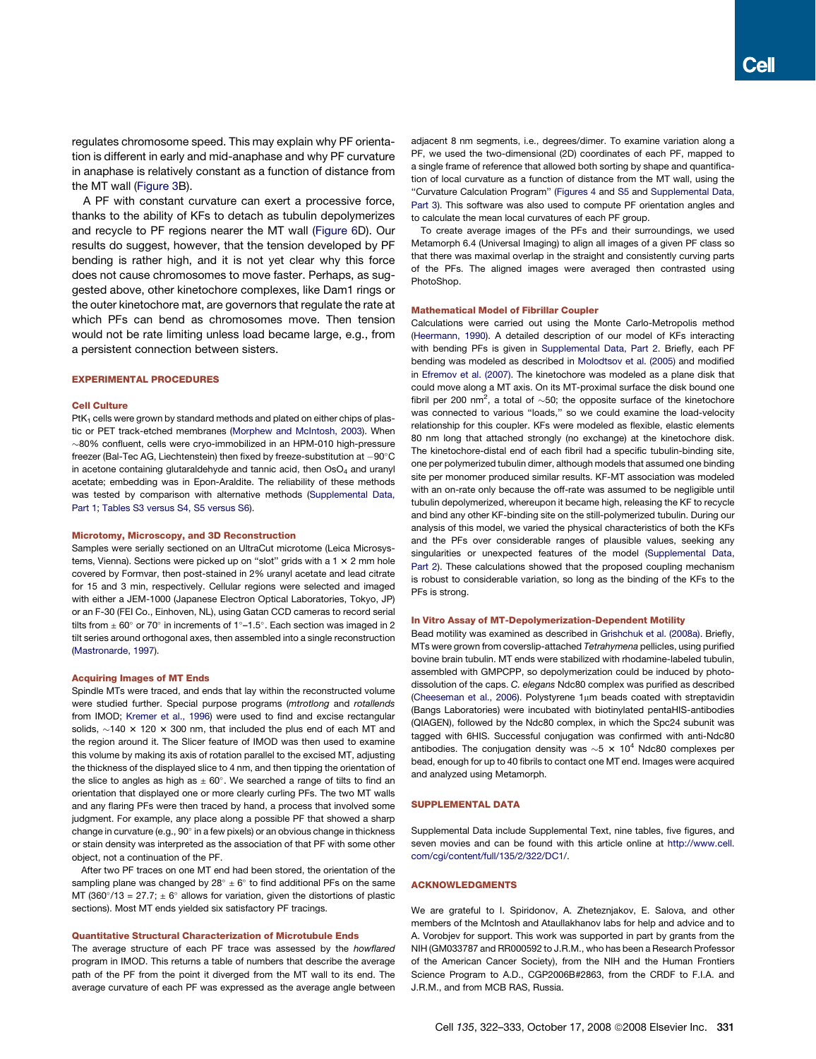<span id="page-9-0"></span>regulates chromosome speed. This may explain why PF orientation is different in early and mid-anaphase and why PF curvature in anaphase is relatively constant as a function of distance from the MT wall [\(Figure 3](#page-4-0)B).

A PF with constant curvature can exert a processive force, thanks to the ability of KFs to detach as tubulin depolymerizes and recycle to PF regions nearer the MT wall [\(Figure 6D](#page-8-0)). Our results do suggest, however, that the tension developed by PF bending is rather high, and it is not yet clear why this force does not cause chromosomes to move faster. Perhaps, as suggested above, other kinetochore complexes, like Dam1 rings or the outer kinetochore mat, are governors that regulate the rate at which PFs can bend as chromosomes move. Then tension would not be rate limiting unless load became large, e.g., from a persistent connection between sisters.

#### EXPERIMENTAL PROCEDURES

## Cell Culture

 $PtK<sub>1</sub>$  cells were grown by standard methods and plated on either chips of plastic or PET track-etched membranes ([Morphew and McIntosh, 2003\)](#page-10-0). When  $\sim$ 80% confluent, cells were cryo-immobilized in an HPM-010 high-pressure freezer (Bal-Tec AG, Liechtenstein) then fixed by freeze-substitution at  $-90^{\circ}$ C in acetone containing glutaraldehyde and tannic acid, then  $OsO<sub>4</sub>$  and uranyl acetate; embedding was in Epon-Araldite. The reliability of these methods was tested by comparison with alternative methods (Supplemental Data, Part 1; Tables S3 versus S4, S5 versus S6).

#### Microtomy, Microscopy, and 3D Reconstruction

Samples were serially sectioned on an UltraCut microtome (Leica Microsystems, Vienna). Sections were picked up on "slot" grids with a  $1 \times 2$  mm hole covered by Formvar, then post-stained in 2% uranyl acetate and lead citrate for 15 and 3 min, respectively. Cellular regions were selected and imaged with either a JEM-1000 (Japanese Electron Optical Laboratories, Tokyo, JP) or an F-30 (FEI Co., Einhoven, NL), using Gatan CCD cameras to record serial tilts from  $\pm$  60° or 70° in increments of 1°-1.5°. Each section was imaged in 2 tilt series around orthogonal axes, then assembled into a single reconstruction ([Mastronarde, 1997](#page-10-0)).

#### Acquiring Images of MT Ends

Spindle MTs were traced, and ends that lay within the reconstructed volume were studied further. Special purpose programs (*mtrotlong* and *rotallends* from IMOD; [Kremer et al., 1996](#page-10-0)) were used to find and excise rectangular solids,  $\sim$ 140  $\times$  120  $\times$  300 nm, that included the plus end of each MT and the region around it. The Slicer feature of IMOD was then used to examine this volume by making its axis of rotation parallel to the excised MT, adjusting the thickness of the displayed slice to 4 nm, and then tipping the orientation of the slice to angles as high as  $\pm 60^{\circ}$ . We searched a range of tilts to find an orientation that displayed one or more clearly curling PFs. The two MT walls and any flaring PFs were then traced by hand, a process that involved some judgment. For example, any place along a possible PF that showed a sharp change in curvature (e.g.,  $90^\circ$  in a few pixels) or an obvious change in thickness or stain density was interpreted as the association of that PF with some other object, not a continuation of the PF.

After two PF traces on one MT end had been stored, the orientation of the sampling plane was changed by  $28^\circ \pm 6^\circ$  to find additional PFs on the same MT (360 $\degree$ /13 = 27.7;  $\pm$  6 $\degree$  allows for variation, given the distortions of plastic sections). Most MT ends yielded six satisfactory PF tracings.

#### Quantitative Structural Characterization of Microtubule Ends

The average structure of each PF trace was assessed by the *howflared* program in IMOD. This returns a table of numbers that describe the average path of the PF from the point it diverged from the MT wall to its end. The average curvature of each PF was expressed as the average angle between adjacent 8 nm segments, i.e., degrees/dimer. To examine variation along a PF, we used the two-dimensional (2D) coordinates of each PF, mapped to a single frame of reference that allowed both sorting by shape and quantification of local curvature as a function of distance from the MT wall, using the ''Curvature Calculation Program'' ([Figures 4](#page-6-0) and S5 and Supplemental Data, Part 3). This software was also used to compute PF orientation angles and to calculate the mean local curvatures of each PF group.

To create average images of the PFs and their surroundings, we used Metamorph 6.4 (Universal Imaging) to align all images of a given PF class so that there was maximal overlap in the straight and consistently curving parts of the PFs. The aligned images were averaged then contrasted using PhotoShop.

#### Mathematical Model of Fibrillar Coupler

Calculations were carried out using the Monte Carlo-Metropolis method ([Heermann, 1990](#page-10-0)). A detailed description of our model of KFs interacting with bending PFs is given in Supplemental Data, Part 2. Briefly, each PF bending was modeled as described in [Molodtsov et al. \(2005\)](#page-10-0) and modified in [Efremov et al. \(2007\).](#page-10-0) The kinetochore was modeled as a plane disk that could move along a MT axis. On its MT-proximal surface the disk bound one fibril per 200 nm<sup>2</sup>, a total of  $\sim$ 50; the opposite surface of the kinetochore was connected to various "loads," so we could examine the load-velocity relationship for this coupler. KFs were modeled as flexible, elastic elements 80 nm long that attached strongly (no exchange) at the kinetochore disk. The kinetochore-distal end of each fibril had a specific tubulin-binding site, one per polymerized tubulin dimer, although models that assumed one binding site per monomer produced similar results. KF-MT association was modeled with an on-rate only because the off-rate was assumed to be negligible until tubulin depolymerized, whereupon it became high, releasing the KF to recycle and bind any other KF-binding site on the still-polymerized tubulin. During our analysis of this model, we varied the physical characteristics of both the KFs and the PFs over considerable ranges of plausible values, seeking any singularities or unexpected features of the model (Supplemental Data, Part 2). These calculations showed that the proposed coupling mechanism is robust to considerable variation, so long as the binding of the KFs to the PFs is strong.

#### In Vitro Assay of MT-Depolymerization-Dependent Motility

Bead motility was examined as described in [Grishchuk et al. \(2008a\).](#page-10-0) Briefly, MTs were grown from coverslip-attached *Tetrahymena* pellicles, using purified bovine brain tubulin. MT ends were stabilized with rhodamine-labeled tubulin, assembled with GMPCPP, so depolymerization could be induced by photodissolution of the caps. *C. elegans* Ndc80 complex was purified as described ([Cheeseman et al., 2006](#page-10-0)). Polystyrene  $1\mu$ m beads coated with streptavidin (Bangs Laboratories) were incubated with biotinylated pentaHIS-antibodies (QIAGEN), followed by the Ndc80 complex, in which the Spc24 subunit was tagged with 6HIS. Successful conjugation was confirmed with anti-Ndc80 antibodies. The conjugation density was  $\sim$ 5 × 10<sup>4</sup> Ndc80 complexes per bead, enough for up to 40 fibrils to contact one MT end. Images were acquired and analyzed using Metamorph.

#### SUPPLEMENTAL DATA

Supplemental Data include Supplemental Text, nine tables, five figures, and seven movies and can be found with this article online at [http://www.cell.](http://www.cell.com/cgi/content/full/135/2/322/DC1/) [com/cgi/content/full/135/2/322/DC1/](http://www.cell.com/cgi/content/full/135/2/322/DC1/).

#### ACKNOWLEDGMENTS

We are grateful to I. Spiridonov, A. Zheteznjakov, E. Salova, and other members of the McIntosh and Ataullakhanov labs for help and advice and to A. Vorobjev for support. This work was supported in part by grants from the NIH (GM033787 and RR000592 to J.R.M., who has been a Research Professor of the American Cancer Society), from the NIH and the Human Frontiers Science Program to A.D., CGP2006B#2863, from the CRDF to F.I.A. and J.R.M., and from MCB RAS, Russia.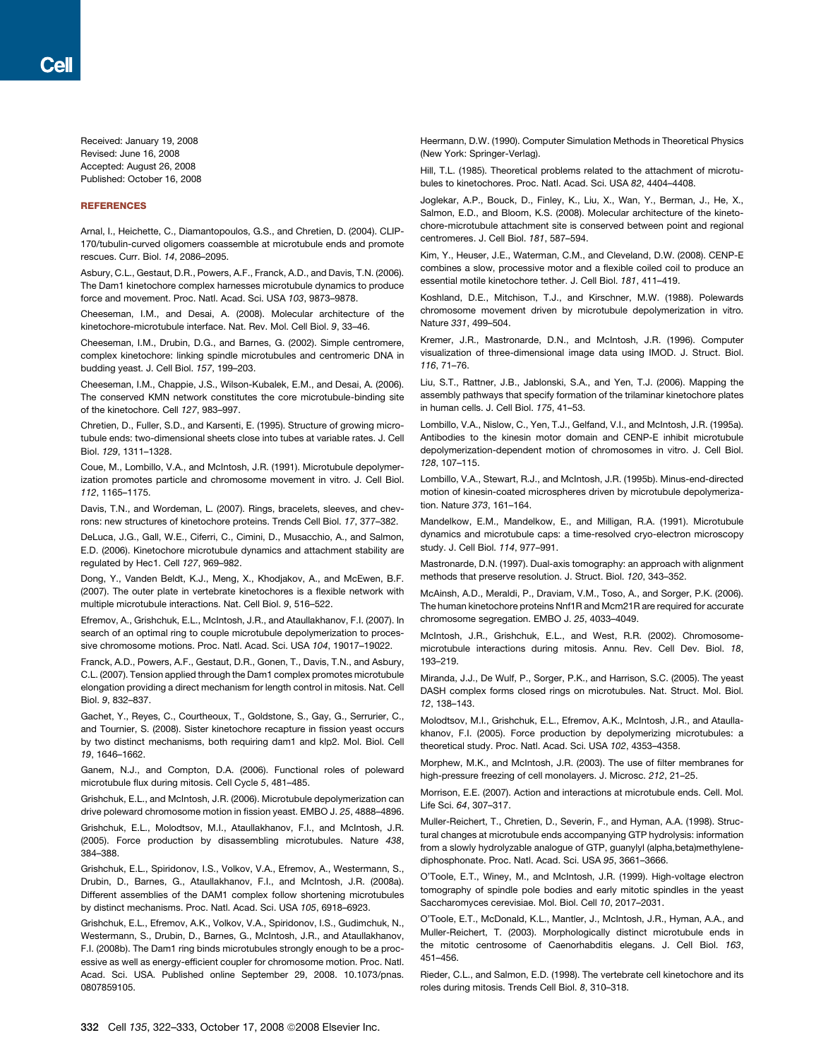<span id="page-10-0"></span>Received: January 19, 2008 Revised: June 16, 2008 Accepted: August 26, 2008 Published: October 16, 2008

# **REFERENCES**

Arnal, I., Heichette, C., Diamantopoulos, G.S., and Chretien, D. (2004). CLIP-170/tubulin-curved oligomers coassemble at microtubule ends and promote rescues. Curr. Biol. *14*, 2086–2095.

Asbury, C.L., Gestaut, D.R., Powers, A.F., Franck, A.D., and Davis, T.N. (2006). The Dam1 kinetochore complex harnesses microtubule dynamics to produce force and movement. Proc. Natl. Acad. Sci. USA *103*, 9873–9878.

Cheeseman, I.M., and Desai, A. (2008). Molecular architecture of the kinetochore-microtubule interface. Nat. Rev. Mol. Cell Biol. *9*, 33–46.

Cheeseman, I.M., Drubin, D.G., and Barnes, G. (2002). Simple centromere, complex kinetochore: linking spindle microtubules and centromeric DNA in budding yeast. J. Cell Biol. *157*, 199–203.

Cheeseman, I.M., Chappie, J.S., Wilson-Kubalek, E.M., and Desai, A. (2006). The conserved KMN network constitutes the core microtubule-binding site of the kinetochore. Cell *127*, 983–997.

Chretien, D., Fuller, S.D., and Karsenti, E. (1995). Structure of growing microtubule ends: two-dimensional sheets close into tubes at variable rates. J. Cell Biol. *129*, 1311–1328.

Coue, M., Lombillo, V.A., and McIntosh, J.R. (1991). Microtubule depolymerization promotes particle and chromosome movement in vitro. J. Cell Biol. *112*, 1165–1175.

Davis, T.N., and Wordeman, L. (2007). Rings, bracelets, sleeves, and chevrons: new structures of kinetochore proteins. Trends Cell Biol. *17*, 377–382.

DeLuca, J.G., Gall, W.E., Ciferri, C., Cimini, D., Musacchio, A., and Salmon, E.D. (2006). Kinetochore microtubule dynamics and attachment stability are regulated by Hec1. Cell *127*, 969–982.

Dong, Y., Vanden Beldt, K.J., Meng, X., Khodjakov, A., and McEwen, B.F. (2007). The outer plate in vertebrate kinetochores is a flexible network with multiple microtubule interactions. Nat. Cell Biol. *9*, 516–522.

Efremov, A., Grishchuk, E.L., McIntosh, J.R., and Ataullakhanov, F.I. (2007). In search of an optimal ring to couple microtubule depolymerization to processive chromosome motions. Proc. Natl. Acad. Sci. USA *104*, 19017–19022.

Franck, A.D., Powers, A.F., Gestaut, D.R., Gonen, T., Davis, T.N., and Asbury, C.L. (2007). Tension applied through the Dam1 complex promotes microtubule elongation providing a direct mechanism for length control in mitosis. Nat. Cell Biol. *9*, 832–837.

Gachet, Y., Reyes, C., Courtheoux, T., Goldstone, S., Gay, G., Serrurier, C., and Tournier, S. (2008). Sister kinetochore recapture in fission yeast occurs by two distinct mechanisms, both requiring dam1 and klp2. Mol. Biol. Cell *19*, 1646–1662.

Ganem, N.J., and Compton, D.A. (2006). Functional roles of poleward microtubule flux during mitosis. Cell Cycle *5*, 481–485.

Grishchuk, E.L., and McIntosh, J.R. (2006). Microtubule depolymerization can drive poleward chromosome motion in fission yeast. EMBO J. *25*, 4888–4896.

Grishchuk, E.L., Molodtsov, M.I., Ataullakhanov, F.I., and McIntosh, J.R. (2005). Force production by disassembling microtubules. Nature *438*, 384–388.

Grishchuk, E.L., Spiridonov, I.S., Volkov, V.A., Efremov, A., Westermann, S., Drubin, D., Barnes, G., Ataullakhanov, F.I., and McIntosh, J.R. (2008a). Different assemblies of the DAM1 complex follow shortening microtubules by distinct mechanisms. Proc. Natl. Acad. Sci. USA *105*, 6918–6923.

Grishchuk, E.L., Efremov, A.K., Volkov, V.A., Spiridonov, I.S., Gudimchuk, N., Westermann, S., Drubin, D., Barnes, G., McIntosh, J.R., and Ataullakhanov, F.I. (2008b). The Dam1 ring binds microtubules strongly enough to be a processive as well as energy-efficient coupler for chromosome motion. Proc. Natl. Acad. Sci. USA. Published online September 29, 2008. 10.1073/pnas. 0807859105.

Heermann, D.W. (1990). Computer Simulation Methods in Theoretical Physics (New York: Springer-Verlag).

Hill, T.L. (1985). Theoretical problems related to the attachment of microtubules to kinetochores. Proc. Natl. Acad. Sci. USA *82*, 4404–4408.

Joglekar, A.P., Bouck, D., Finley, K., Liu, X., Wan, Y., Berman, J., He, X., Salmon, E.D., and Bloom, K.S. (2008). Molecular architecture of the kinetochore-microtubule attachment site is conserved between point and regional centromeres. J. Cell Biol. *181*, 587–594.

Kim, Y., Heuser, J.E., Waterman, C.M., and Cleveland, D.W. (2008). CENP-E combines a slow, processive motor and a flexible coiled coil to produce an essential motile kinetochore tether. J. Cell Biol. *181*, 411–419.

Koshland, D.E., Mitchison, T.J., and Kirschner, M.W. (1988). Polewards chromosome movement driven by microtubule depolymerization in vitro. Nature *331*, 499–504.

Kremer, J.R., Mastronarde, D.N., and McIntosh, J.R. (1996). Computer visualization of three-dimensional image data using IMOD. J. Struct. Biol. *116*, 71–76.

Liu, S.T., Rattner, J.B., Jablonski, S.A., and Yen, T.J. (2006). Mapping the assembly pathways that specify formation of the trilaminar kinetochore plates in human cells. J. Cell Biol. *175*, 41–53.

Lombillo, V.A., Nislow, C., Yen, T.J., Gelfand, V.I., and McIntosh, J.R. (1995a). Antibodies to the kinesin motor domain and CENP-E inhibit microtubule depolymerization-dependent motion of chromosomes in vitro. J. Cell Biol. *128*, 107–115.

Lombillo, V.A., Stewart, R.J., and McIntosh, J.R. (1995b). Minus-end-directed motion of kinesin-coated microspheres driven by microtubule depolymerization. Nature *373*, 161–164.

Mandelkow, E.M., Mandelkow, E., and Milligan, R.A. (1991). Microtubule dynamics and microtubule caps: a time-resolved cryo-electron microscopy study. J. Cell Biol. *114*, 977–991.

Mastronarde, D.N. (1997). Dual-axis tomography: an approach with alignment methods that preserve resolution. J. Struct. Biol. *120*, 343–352.

McAinsh, A.D., Meraldi, P., Draviam, V.M., Toso, A., and Sorger, P.K. (2006). The human kinetochore proteins Nnf1R and Mcm21R are required for accurate chromosome segregation. EMBO J. *25*, 4033–4049.

McIntosh, J.R., Grishchuk, E.L., and West, R.R. (2002). Chromosomemicrotubule interactions during mitosis. Annu. Rev. Cell Dev. Biol. *18*, 193–219.

Miranda, J.J., De Wulf, P., Sorger, P.K., and Harrison, S.C. (2005). The yeast DASH complex forms closed rings on microtubules. Nat. Struct. Mol. Biol. *12*, 138–143.

Molodtsov, M.I., Grishchuk, E.L., Efremov, A.K., McIntosh, J.R., and Ataullakhanov, F.I. (2005). Force production by depolymerizing microtubules: a theoretical study. Proc. Natl. Acad. Sci. USA *102*, 4353–4358.

Morphew, M.K., and McIntosh, J.R. (2003). The use of filter membranes for high-pressure freezing of cell monolayers. J. Microsc. *212*, 21–25.

Morrison, E.E. (2007). Action and interactions at microtubule ends. Cell. Mol. Life Sci. *64*, 307–317.

Muller-Reichert, T., Chretien, D., Severin, F., and Hyman, A.A. (1998). Structural changes at microtubule ends accompanying GTP hydrolysis: information from a slowly hydrolyzable analogue of GTP, guanylyl (alpha,beta)methylenediphosphonate. Proc. Natl. Acad. Sci. USA *95*, 3661–3666.

O'Toole, E.T., Winey, M., and McIntosh, J.R. (1999). High-voltage electron tomography of spindle pole bodies and early mitotic spindles in the yeast Saccharomyces cerevisiae. Mol. Biol. Cell *10*, 2017–2031.

O'Toole, E.T., McDonald, K.L., Mantler, J., McIntosh, J.R., Hyman, A.A., and Muller-Reichert, T. (2003). Morphologically distinct microtubule ends in the mitotic centrosome of Caenorhabditis elegans. J. Cell Biol. *163*, 451–456.

Rieder, C.L., and Salmon, E.D. (1998). The vertebrate cell kinetochore and its roles during mitosis. Trends Cell Biol. *8*, 310–318.